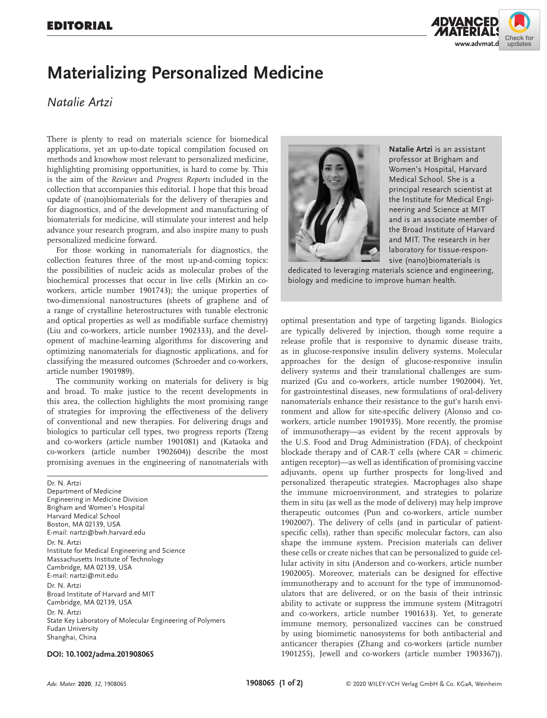

## **Materializing Personalized Medicine**

## *Natalie Artzi*

There is plenty to read on materials science for biomedical applications, yet an up-to-date topical compilation focused on methods and knowhow most relevant to personalized medicine, highlighting promising opportunities, is hard to come by. This is the aim of the *Reviews* and *Progress Reports* included in the collection that accompanies this editorial. I hope that this broad update of (nano)biomaterials for the delivery of therapies and for diagnostics, and of the development and manufacturing of biomaterials for medicine, will stimulate your interest and help advance your research program, and also inspire many to push personalized medicine forward.

For those working in nanomaterials for diagnostics, the collection features three of the most up-and-coming topics: the possibilities of nucleic acids as molecular probes of the biochemical processes that occur in live cells (Mirkin an coworkers, article number 1901743); the unique properties of two-dimensional nanostructures (sheets of graphene and of a range of crystalline heterostructures with tunable electronic and optical properties as well as modifiable surface chemistry) (Liu and co-workers, article number 1902333), and the development of machine-learning algorithms for discovering and optimizing nanomaterials for diagnostic applications, and for classifying the measured outcomes (Schroeder and co-workers, article number 1901989).

The community working on materials for delivery is big and broad. To make justice to the recent developments in this area, the collection highlights the most promising range of strategies for improving the effectiveness of the delivery of conventional and new therapies. For delivering drugs and biologics to particular cell types, two progress reports (Tzeng and co-workers (article number 1901081) and (Kataoka and co-workers (article number 1902604)) describe the most promising avenues in the engineering of nanomaterials with

Dr. N. Artzi Department of Medicine Engineering in Medicine Division Brigham and Women's Hospital Harvard Medical School Boston, MA 02139, USA E-mail: nartzi@bwh.harvard.edu Dr. N. Artzi Institute for Medical Engineering and Science Massachusetts Institute of Technology Cambridge, MA 02139, USA E-mail: nartzi@mit.edu Dr. N. Artzi Broad Institute of Harvard and MIT Cambridge, MA 02139, USA Dr. N. Artzi State Key Laboratory of Molecular Engineering of Polymers Fudan University Shanghai, China

## **DOI: 10.1002/adma.201908065**



**Natalie Artzi** is an assistant professor at Brigham and Women's Hospital, Harvard Medical School. She is a principal research scientist at the Institute for Medical Engineering and Science at MIT and is an associate member of the Broad Institute of Harvard and MIT. The research in her laboratory for tissue-responsive (nano)biomaterials is

dedicated to leveraging materials science and engineering, biology and medicine to improve human health.

optimal presentation and type of targeting ligands. Biologics are typically delivered by injection, though some require a release profile that is responsive to dynamic disease traits, as in glucose-responsive insulin delivery systems. Molecular approaches for the design of glucose-responsive insulin delivery systems and their translational challenges are summarized (Gu and co-workers, article number 1902004). Yet, for gastrointestinal diseases, new formulations of oral-delivery nanomaterials enhance their resistance to the gut's harsh environment and allow for site-specific delivery (Alonso and coworkers, article number 1901935). More recently, the promise of immunotherapy—as evident by the recent approvals by the U.S. Food and Drug Administration (FDA), of checkpoint blockade therapy and of CAR-T cells (where  $CAR =$  chimeric antigen receptor)—as well as identification of promising vaccine adjuvants, opens up further prospects for long-lived and personalized therapeutic strategies. Macrophages also shape the immune microenvironment, and strategies to polarize them in situ (as well as the mode of delivery) may help improve therapeutic outcomes (Pun and co-workers, article number 1902007). The delivery of cells (and in particular of patientspecific cells), rather than specific molecular factors, can also shape the immune system. Precision materials can deliver these cells or create niches that can be personalized to guide cellular activity in situ (Anderson and co-workers, article number 1902005). Moreover, materials can be designed for effective immunotherapy and to account for the type of immunomodulators that are delivered, or on the basis of their intrinsic ability to activate or suppress the immune system (Mitragotri and co-workers, article number 1901633). Yet, to generate immune memory, personalized vaccines can be construed by using biomimetic nanosystems for both antibacterial and anticancer therapies (Zhang and co-workers (article number 1901255), Jewell and co-workers (article number 1903367)).